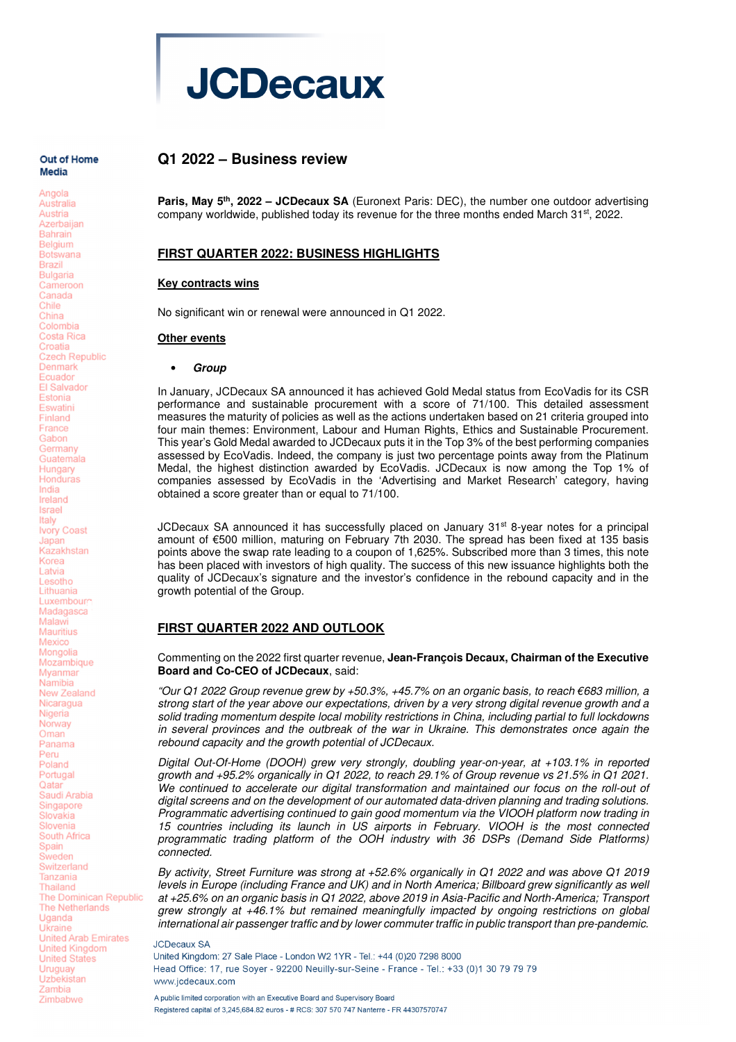

#### Out of Home Media

Angola

Australia Austria Azerbaijan **Bahrain** Belgium **Rotswana** Brazil **Bulgaria** Cameroon Canada Chile China Colombia Costa Rica Croatia **Czech Republic** Denmark Fouador **FI Salvador** Estonia Eswatini Finland France Gabon Germany Guatemala Hungary Honduras India Ireland Israel Italy Ivory Coast Japan Kazakhstan Korea **Latvia** Lesotho Lithuania Luxembourg Madagasca Malawi **Mauritius** Mexico Mongolia Mozambique Myanmar Namibia New Zealand Nicaragua Nigeria Norway Oman Panama Peru Poland Portugal Oatar Saudi Arabia Singapore Slovakia Slovenia South Africa Spain Sweden Switzerland Tanzania Thailand **The Dominican Republic The Netherlands** Uganda Ukraine **United Arab Emirates United Kingdom United States** Uruguay Uzbekistan Zambia Zimbabwe

# **Q1 2022 – Business review**

**Paris, May 5th, 2022 – JCDecaux SA** (Euronext Paris: DEC), the number one outdoor advertising company worldwide, published today its revenue for the three months ended March 31st, 2022.

## **FIRST QUARTER 2022: BUSINESS HIGHLIGHTS**

### **Key contracts wins**

No significant win or renewal were announced in Q1 2022.

#### **Other events**

#### • **Group**

In January, JCDecaux SA announced it has achieved Gold Medal status from EcoVadis for its CSR performance and sustainable procurement with a score of 71/100. This detailed assessment measures the maturity of policies as well as the actions undertaken based on 21 criteria grouped into four main themes: Environment, Labour and Human Rights, Ethics and Sustainable Procurement. This year's Gold Medal awarded to JCDecaux puts it in the Top 3% of the best performing companies assessed by EcoVadis. Indeed, the company is just two percentage points away from the Platinum Medal, the highest distinction awarded by EcoVadis. JCDecaux is now among the Top 1% of companies assessed by EcoVadis in the 'Advertising and Market Research' category, having obtained a score greater than or equal to 71/100.

JCDecaux SA announced it has successfully placed on January 31<sup>st</sup> 8-year notes for a principal amount of €500 million, maturing on February 7th 2030. The spread has been fixed at 135 basis points above the swap rate leading to a coupon of 1,625%. Subscribed more than 3 times, this note has been placed with investors of high quality. The success of this new issuance highlights both the quality of JCDecaux's signature and the investor's confidence in the rebound capacity and in the growth potential of the Group.

## **FIRST QUARTER 2022 AND OUTLOOK**

Commenting on the 2022 first quarter revenue, **Jean-François Decaux, Chairman of the Executive Board and Co-CEO of JCDecaux**, said:

"Our Q1 2022 Group revenue grew by +50.3%, +45.7% on an organic basis, to reach €683 million, a strong start of the year above our expectations, driven by a very strong digital revenue growth and a solid trading momentum despite local mobility restrictions in China, including partial to full lockdowns in several provinces and the outbreak of the war in Ukraine. This demonstrates once again the rebound capacity and the growth potential of JCDecaux.

Digital Out-Of-Home (DOOH) grew very strongly, doubling year-on-year, at +103.1% in reported growth and +95.2% organically in Q1 2022, to reach 29.1% of Group revenue vs 21.5% in Q1 2021. We continued to accelerate our digital transformation and maintained our focus on the roll-out of digital screens and on the development of our automated data-driven planning and trading solutions. Programmatic advertising continued to gain good momentum via the VIOOH platform now trading in 15 countries including its launch in US airports in February. VIOOH is the most connected programmatic trading platform of the OOH industry with 36 DSPs (Demand Side Platforms) connected.

By activity, Street Furniture was strong at +52.6% organically in Q1 2022 and was above Q1 2019 levels in Europe (including France and UK) and in North America; Billboard grew significantly as well at +25.6% on an organic basis in Q1 2022, above 2019 in Asia-Pacific and North-America; Transport grew strongly at +46.1% but remained meaningfully impacted by ongoing restrictions on global international air passenger traffic and by lower commuter traffic in public transport than pre-pandemic.

#### **JCDecaux SA**

United Kingdom: 27 Sale Place - London W2 1YR - Tel.: +44 (0)20 7298 8000 Head Office: 17, rue Soyer - 92200 Neuilly-sur-Seine - France - Tel.: +33 (0)1 30 79 79 79 www.jcdecaux.com

A public limited corporation with an Executive Board and Supervisory Board Registered capital of 3.245.684.82 euros - # RCS: 307 570 747 Nanterre - FR 44307570747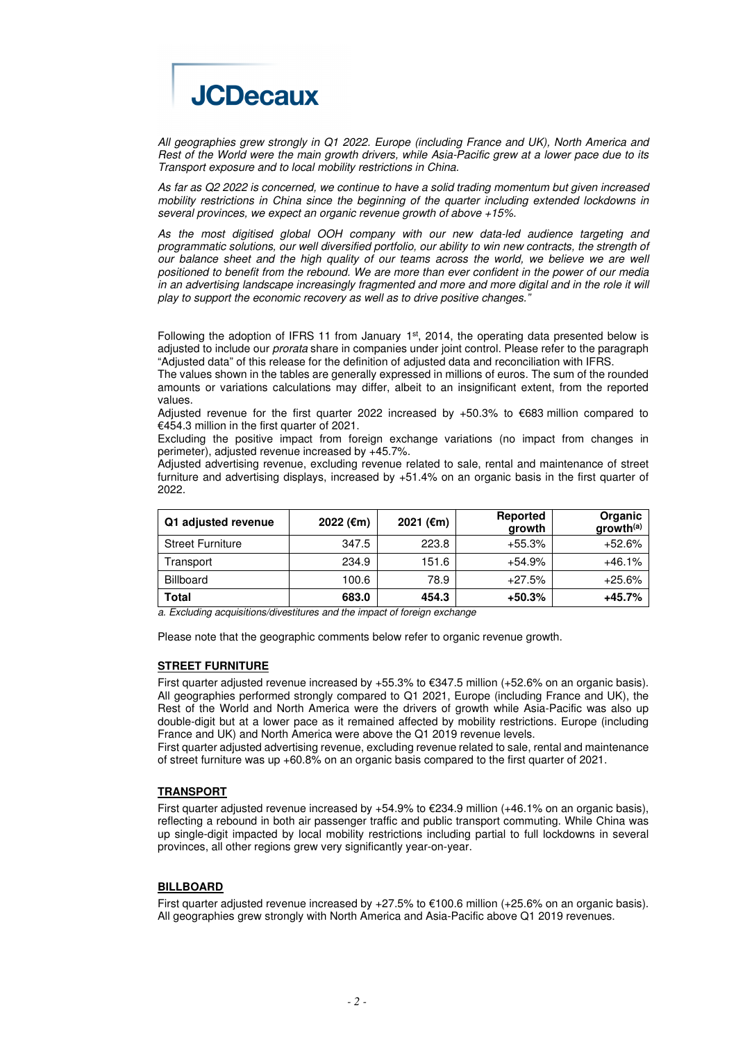

All geographies grew strongly in Q1 2022. Europe (including France and UK), North America and Rest of the World were the main growth drivers, while Asia-Pacific grew at a lower pace due to its Transport exposure and to local mobility restrictions in China.

As far as Q2 2022 is concerned, we continue to have a solid trading momentum but given increased mobility restrictions in China since the beginning of the quarter including extended lockdowns in several provinces, we expect an organic revenue growth of above +15%.

As the most digitised global OOH company with our new data-led audience targeting and programmatic solutions, our well diversified portfolio, our ability to win new contracts, the strength of our balance sheet and the high quality of our teams across the world, we believe we are well positioned to benefit from the rebound. We are more than ever confident in the power of our media in an advertising landscape increasingly fragmented and more and more digital and in the role it will play to support the economic recovery as well as to drive positive changes."

Following the adoption of IFRS 11 from January  $1<sup>st</sup>$ , 2014, the operating data presented below is adjusted to include our prorata share in companies under joint control. Please refer to the paragraph "Adjusted data" of this release for the definition of adjusted data and reconciliation with IFRS.

The values shown in the tables are generally expressed in millions of euros. The sum of the rounded amounts or variations calculations may differ, albeit to an insignificant extent, from the reported values.

Adjusted revenue for the first quarter 2022 increased by +50.3% to  $€683$  million compared to €454.3 million in the first quarter of 2021.

Excluding the positive impact from foreign exchange variations (no impact from changes in perimeter), adjusted revenue increased by +45.7%.

Adjusted advertising revenue, excluding revenue related to sale, rental and maintenance of street furniture and advertising displays, increased by +51.4% on an organic basis in the first quarter of 2022.

| Q1 adjusted revenue     | 2022 (€m) | 2021 (€m) | Reported<br>growth | Organic<br>growth <sup>(a)</sup> |
|-------------------------|-----------|-----------|--------------------|----------------------------------|
| <b>Street Furniture</b> | 347.5     | 223.8     | $+55.3%$           | $+52.6%$                         |
| Transport               | 234.9     | 151.6     | $+54.9%$           | $+46.1%$                         |
| <b>Billboard</b>        | 100.6     | 78.9      | $+27.5%$           | $+25.6%$                         |
| Total                   | 683.0     | 454.3     | $+50.3%$           | +45.7%                           |

a. Excluding acquisitions/divestitures and the impact of foreign exchange

Please note that the geographic comments below refer to organic revenue growth.

### **STREET FURNITURE**

First quarter adjusted revenue increased by +55.3% to €347.5 million (+52.6% on an organic basis). All geographies performed strongly compared to Q1 2021, Europe (including France and UK), the Rest of the World and North America were the drivers of growth while Asia-Pacific was also up double-digit but at a lower pace as it remained affected by mobility restrictions. Europe (including France and UK) and North America were above the Q1 2019 revenue levels.

First quarter adjusted advertising revenue, excluding revenue related to sale, rental and maintenance of street furniture was up +60.8% on an organic basis compared to the first quarter of 2021.

### **TRANSPORT**

First quarter adjusted revenue increased by  $+54.9\%$  to  $\text{\textsterling}234.9$  million ( $+46.1\%$  on an organic basis), reflecting a rebound in both air passenger traffic and public transport commuting. While China was up single-digit impacted by local mobility restrictions including partial to full lockdowns in several provinces, all other regions grew very significantly year-on-year.

# **BILLBOARD**

First quarter adjusted revenue increased by  $+27.5\%$  to  $\epsilon$ 100.6 million (+25.6% on an organic basis). All geographies grew strongly with North America and Asia-Pacific above Q1 2019 revenues.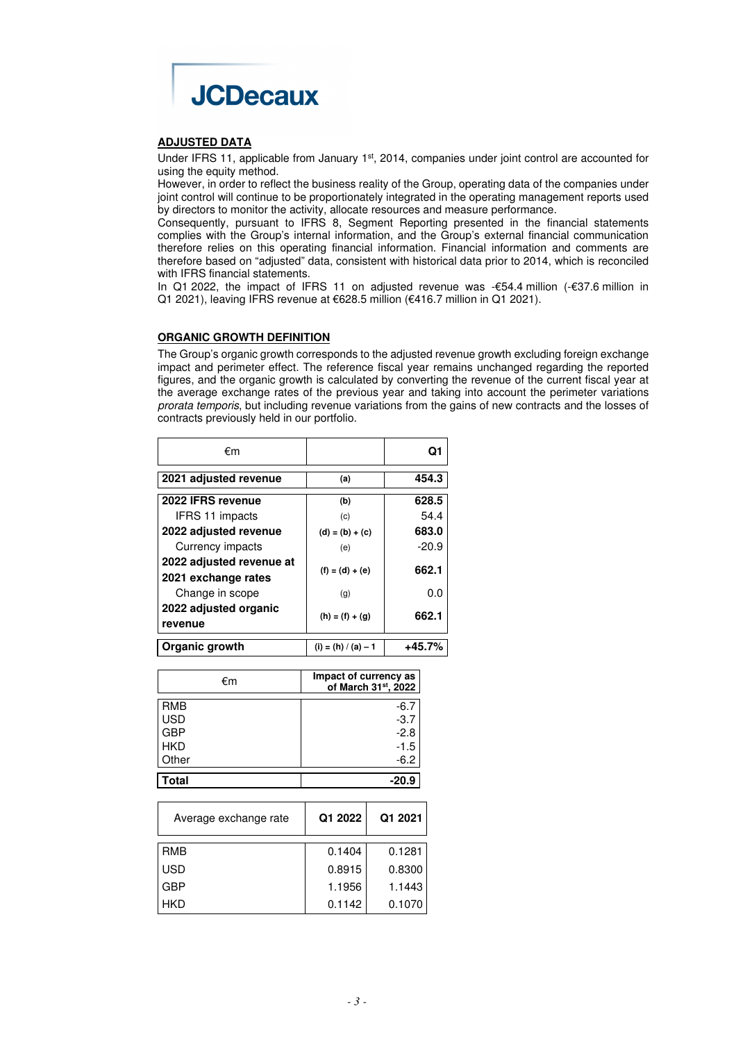

## **ADJUSTED DATA**

Under IFRS 11, applicable from January 1<sup>st</sup>, 2014, companies under joint control are accounted for using the equity method.

However, in order to reflect the business reality of the Group, operating data of the companies under joint control will continue to be proportionately integrated in the operating management reports used by directors to monitor the activity, allocate resources and measure performance.

Consequently, pursuant to IFRS 8, Segment Reporting presented in the financial statements complies with the Group's internal information, and the Group's external financial communication therefore relies on this operating financial information. Financial information and comments are therefore based on "adjusted" data, consistent with historical data prior to 2014, which is reconciled with IFRS financial statements.

In Q1 2022, the impact of IFRS 11 on adjusted revenue was -€54.4 million (-€37.6 million in Q1 2021), leaving IFRS revenue at €628.5 million (€416.7 million in Q1 2021).

## **ORGANIC GROWTH DEFINITION**

The Group's organic growth corresponds to the adjusted revenue growth excluding foreign exchange impact and perimeter effect. The reference fiscal year remains unchanged regarding the reported figures, and the organic growth is calculated by converting the revenue of the current fiscal year at the average exchange rates of the previous year and taking into account the perimeter variations prorata temporis, but including revenue variations from the gains of new contracts and the losses of contracts previously held in our portfolio.

| €m                                              |                       | Ω1       |
|-------------------------------------------------|-----------------------|----------|
| 2021 adjusted revenue                           | (a)                   | 454.3    |
| 2022 IFRS revenue                               | (b)                   | 628.5    |
| IFRS 11 impacts                                 | (c)                   | 54.4     |
| 2022 adjusted revenue                           | $(d) = (b) + (c)$     | 683.0    |
| Currency impacts                                | (e)                   | $-20.9$  |
| 2022 adjusted revenue at<br>2021 exchange rates | $(f) = (d) + (e)$     | 662.1    |
| Change in scope                                 | (q)                   | 0.0      |
| 2022 adjusted organic<br>revenue                | $(h) = (f) + (g)$     | 662.1    |
| Organic growth                                  | $(i) = (h) / (a) - 1$ | $+45.7%$ |

| €m           | Impact of currency as<br>of March 31 <sup>st</sup> , 2022 |
|--------------|-----------------------------------------------------------|
| <b>RMB</b>   | -6.7                                                      |
| <b>USD</b>   | $-3.7$                                                    |
| <b>GBP</b>   | $-2.8$                                                    |
| <b>HKD</b>   | $-1.5$                                                    |
| Other        | $-6.2$                                                    |
| <b>Total</b> | $-20.9$                                                   |

| Average exchange rate | Q1 2022 | Q1 2021 |
|-----------------------|---------|---------|
| <b>RMB</b>            | 0.1404  | 0.1281  |
| <b>USD</b>            | 0.8915  | 0.8300  |
| <b>GBP</b>            | 1.1956  | 1.1443  |
| HKD                   | 0.1142  | 0.1070  |